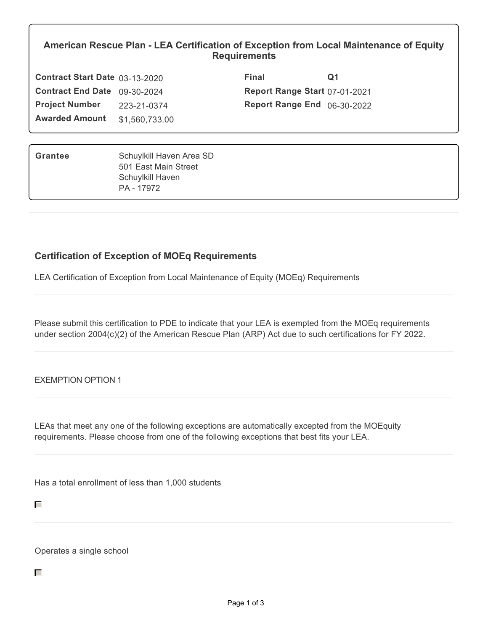## **American Rescue Plan - LEA Certification of Exception from Local Maintenance of Equity Requirements**

| Contract Start Date 03-13-2020 |                | Final                                | Q1 |
|--------------------------------|----------------|--------------------------------------|----|
| Contract End Date 09-30-2024   |                | <b>Report Range Start 07-01-2021</b> |    |
| <b>Project Number</b>          | 223-21-0374    | <b>Report Range End</b> 06-30-2022   |    |
| <b>Awarded Amount</b>          | \$1,560,733.00 |                                      |    |

| Grantee | Schuylkill Haven Area SD |
|---------|--------------------------|
|         | 501 East Main Street     |
|         | Schuylkill Haven         |
|         | PA - 17972               |

## **Certification of Exception of MOEq Requirements**

LEA Certification of Exception from Local Maintenance of Equity (MOEq) Requirements

Please submit this certification to PDE to indicate that your LEA is exempted from the MOEq requirements under section 2004(c)(2) of the American Rescue Plan (ARP) Act due to such certifications for FY 2022.

EXEMPTION OPTION 1

LEAs that meet any one of the following exceptions are automatically excepted from the MOEquity requirements. Please choose from one of the following exceptions that best fits your LEA.

Has a total enrollment of less than 1,000 students

Operates a single school

П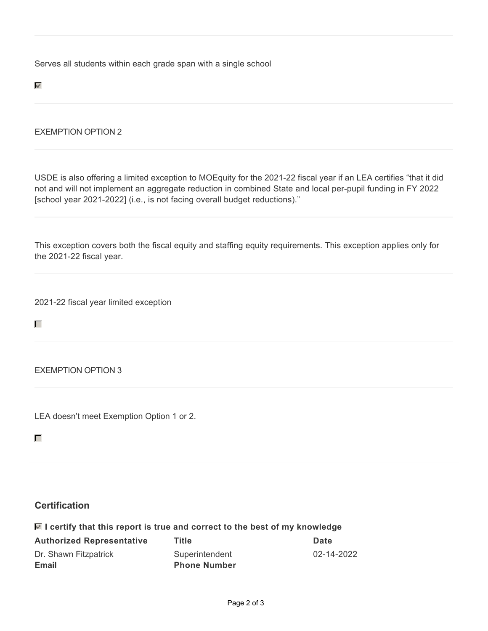Serves all students within each grade span with a single school

 $\overline{\mathscr{S}}$ 

## EXEMPTION OPTION 2

USDE is also offering a limited exception to MOEquity for the 2021-22 fiscal year if an LEA certifies "that it did not and will not implement an aggregate reduction in combined State and local per-pupil funding in FY 2022 [school year 2021-2022] (i.e., is not facing overall budget reductions)."

This exception covers both the fiscal equity and staffing equity requirements. This exception applies only for the 2021-22 fiscal year.

2021-22 fiscal year limited exception

EXEMPTION OPTION 3

LEA doesn't meet Exemption Option 1 or 2.

П

П

## **Certification**

| $\blacksquare$ I certify that this report is true and correct to the best of my knowledge |       |             |
|-------------------------------------------------------------------------------------------|-------|-------------|
| <b>Authorized Representative</b>                                                          | Title | <b>Date</b> |

| Dr. Shawn Fitzpatrick | Superintendent      | 02-14-2022 |
|-----------------------|---------------------|------------|
| <b>Email</b>          | <b>Phone Number</b> |            |